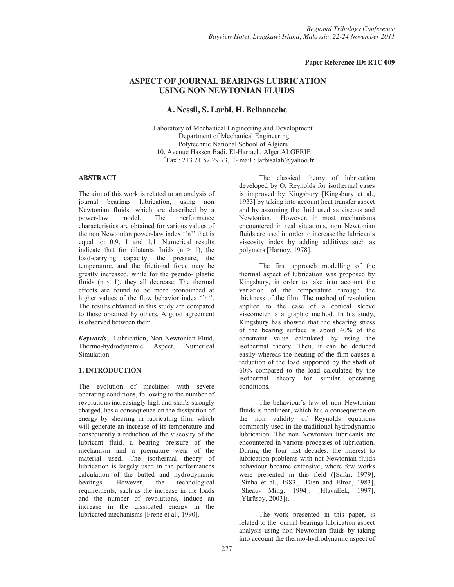### **Paper Reference ID: RTC 009**

# **ASPECT OF JOURNAL BEARINGS LUBRICATION USING NON NEWTONIAN FLUIDS**

# **A. Nessil, S. Larbi, H. Belhaneche**

Laboratory of Mechanical Engineering and Development Department of Mechanical Engineering Polytechnic National School of Algiers 10, Avenue Hassen Badi, El-Harrach, Alger.ALGERIE \* Fax : 213 21 52 29 73, E- mail : larbisalah@yahoo.fr

# **ABSTRACT**

The aim of this work is related to an analysis of journal bearings lubrication, using non Newtonian fluids, which are described by a model. The performance characteristics are obtained for various values of the non Newtonian power-law index ''n'' that is equal to: 0.9, 1 and 1.1. Numerical results indicate that for dilatants fluids  $(n > 1)$ , the load-carrying capacity, the pressure, the temperature, and the frictional force may be greatly increased, while for the pseudo- plastic fluids  $(n < 1)$ , they all decrease. The thermal effects are found to be more pronounced at higher values of the flow behavior index "n". The results obtained in this study are compared to those obtained by others. A good agreement is observed between them.

*Keywords:* Lubrication, Non Newtonian Fluid, Thermo-hydrodynamic Aspect, Numerical Simulation.

# **1. INTRODUCTION**

The evolution of machines with severe operating conditions, following to the number of revolutions increasingly high and shafts strongly charged, has a consequence on the dissipation of energy by shearing in lubricating film, which will generate an increase of its temperature and consequently a reduction of the viscosity of the lubricant fluid, a bearing pressure of the mechanism and a premature wear of the material used. The isothermal theory of lubrication is largely used in the performances calculation of the butted and hydrodynamic<br>bearings. However, the technological bearings. However, the technological requirements, such as the increase in the loads and the number of revolutions, induce an increase in the dissipated energy in the lubricated mechanisms [Frene et al., 1990].

The classical theory of lubrication developed by O. Reynolds for isothermal cases is improved by Kingsbury [Kingsbury et al., 1933] by taking into account heat transfer aspect and by assuming the fluid used as viscous and Newtonian. However, in most mechanisms encountered in real situations, non Newtonian fluids are used in order to increase the lubricants viscosity index by adding additives such as polymers [Harnoy, 1978].

The first approach modelling of the thermal aspect of lubrication was proposed by Kingsbury, in order to take into account the variation of the temperature through the thickness of the film. The method of resolution applied to the case of a conical sleeve viscometer is a graphic method. In his study, Kingsbury has showed that the shearing stress of the bearing surface is about 40% of the constraint value calculated by using the isothermal theory. Then, it can be deduced easily whereas the heating of the film causes a reduction of the load supported by the shaft of 60% compared to the load calculated by the isothermal theory for similar operating conditions.

The behaviour's law of non Newtonian fluids is nonlinear, which has a consequence on the non validity of Reynolds equations commonly used in the traditional hydrodynamic lubrication. The non Newtonian lubricants are encountered in various processes of lubrication. During the four last decades, the interest to lubrication problems with not Newtonian fluids behaviour became extensive, where few works were presented in this field ([Safar, 1979], [Sinha et al., 1983], [Dien and Elrod, 1983], [Sheau- Ming, 1994], [HlavaEek, 1997], [Yürüsoy, 2003]).

The work presented in this paper, is related to the journal bearings lubrication aspect analysis using non Newtonian fluids by taking into account the thermo-hydrodynamic aspect of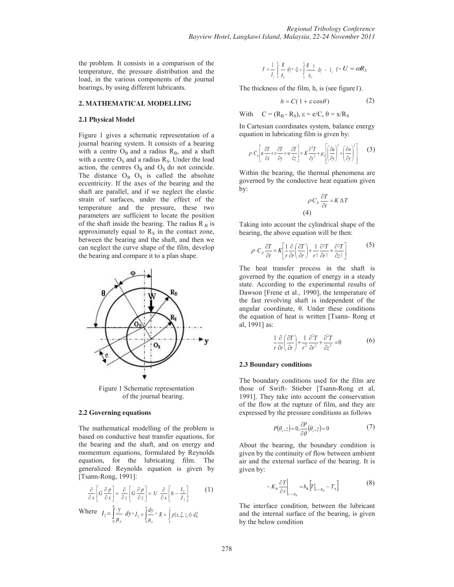the problem. It consists in a comparison of the temperature, the pressure distribution and the load, in the various components of the journal bearings, by using different lubricants.

#### **2. MATHEMATICAL MODELLING**

#### **2.1 Physical Model**

Figure 1 gives a schematic representation of a journal bearing system. It consists of a bearing with a centre  $O_B$  and a radius  $R_B$ , and a shaft with a centre  $O_S$  and a radius  $R_S$ . Under the load action, the centres  $O_B$  and  $O_S$  do not coincide. The distance  $O_B$   $O_S$  is called the absolute eccentricity. If the axes of the bearing and the shaft are parallel, and if we neglect the elastic strain of surfaces, under the effect of the temperature and the pressure, these two parameters are sufficient to locate the position of the shaft inside the bearing. The radius  $R_B$  is approximately equal to  $R<sub>S</sub>$  in the contact zone, between the bearing and the shaft, and then we can neglect the curve shape of the film, develop the bearing and compare it to a plan shape.



Figure 1 Schematic representation of the journal bearing.

#### **2.2 Governing equations**

The mathematical modelling of the problem is based on conductive heat transfer equations, for the bearing and the shaft, and on energy and momentum equations, formulated by Reynolds equation, for the lubricating film. The generalized Reynolds equation is given by [Tsann-Rong, 1991]:

$$
\frac{\partial}{\partial x}\left[G\frac{\partial p}{\partial x}\right] + \frac{\partial}{\partial z}\left[G\frac{\partial p}{\partial z}\right] = U\frac{\partial}{\partial x}\left[h - \frac{I_2}{J_2}\right] \tag{1}
$$

Where 
$$
I_2 = \int_0^h \frac{y}{\mu_a} dy \cdot J_2 = \int_0^h \frac{dy}{\mu_a} \cdot R = \int_0^y \rho(x, \xi, z, t) d\xi
$$

$$
F = \frac{1}{J_2} \int_{0}^{h} \frac{R}{\mu_a} dy \cdot G = \int_{0}^{h} \frac{R y}{\mu_a} dy - I_2 F \cdot U = \omega R_S
$$

The thickness of the film, h, is (see figure1).

$$
h = C(1 + \varepsilon \cos \theta) \tag{2}
$$

With  $C = (R_B - R_S), \varepsilon = e/C, \theta = x/R_S$ 

In Cartesian coordinates system, balance energy equation in lubricating film is given by:

$$
\rho \cdot C_p \left[ u \frac{\partial T}{\partial x} + v \frac{\partial T}{\partial y} + w \frac{\partial T}{\partial z} \right] = K \frac{\partial^2 T}{\partial y^2} + \mu_a \left[ \left( \frac{\partial u}{\partial y} \right)^2 + \left( \frac{\partial w}{\partial y} \right)^2 \right] \tag{3}
$$

Within the bearing, the thermal phenomena are governed by the conductive heat equation given by:

$$
\rho C_p \frac{\partial T}{\partial t} = K \Delta T
$$
  
(4)

Taking into account the cylindrical shape of the bearing, the above equation will be then:

$$
\rho \cdot C_p \frac{\partial T}{\partial t} = K \left[ \frac{1}{r} \frac{\partial}{\partial r} \left( \frac{\partial T}{\partial r} \right) + \frac{1}{r^2} \frac{\partial^2 T}{\partial r^2} + \frac{\partial^2 T}{\partial z^2} \right]
$$
(5)

The heat transfer process in the shaft is governed by the equation of energy in a steady state. According to the experimental results of Dawson [Frene et al., 1990], the temperature of the fast revolving shaft is independent of the angular coordinate, θ. Under these conditions the equation of heat is written [Tsann- Rong et al, 1991] as:

$$
\frac{1}{r}\frac{\partial}{\partial r}\left(\frac{\partial T}{\partial r}\right) + \frac{1}{r^2}\frac{\partial^2 T}{\partial r^2} + \frac{\partial^2 T}{\partial z^2} = 0
$$
 (6)

#### **2.3 Boundary conditions**

The boundary conditions used for the film are those of Swift- Stieber [Tsann-Rong et al, 1991]. They take into account the conservation of the flow at the rupture of film, and they are expressed by the pressure conditions as follows

$$
P(\theta_s, z) = 0, \frac{\partial P}{\partial \theta}(\theta_s, z) = 0 \tag{7}
$$

About the bearing, the boundary condition is given by the continuity of flow between ambient air and the external surface of the bearing. It is given by:

$$
-K_B \frac{\partial T}{\partial r}\bigg|_{r=R_B} = h_B \left[ T \big|_{r=R_B} - T_A \right] \tag{8}
$$

The interface condition, between the lubricant and the internal surface of the bearing, is given by the below condition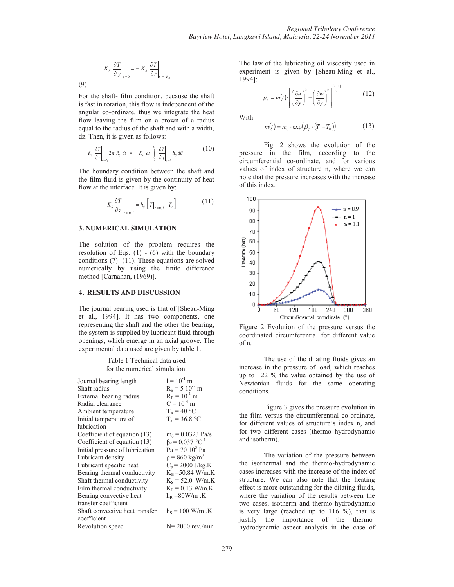$$
K_F \left. \frac{\partial T}{\partial y} \right|_{y=0} = -K_B \left. \frac{\partial T}{\partial r} \right|_{r=R_B}
$$

(9)

For the shaft- film condition, because the shaft is fast in rotation, this flow is independent of the angular co-ordinate, thus we integrate the heat flow leaving the film on a crown of a radius equal to the radius of the shaft and with a width, dz. Then, it is given as follows:

$$
K_s \frac{\partial T}{\partial r}\bigg|_{r=R_s} 2\pi R_s dz = -K_r dz \int_0^{2\pi} \frac{\partial T}{\partial y}\bigg|_{y=h} R_s d\theta
$$
 (10)

The boundary condition between the shaft and the film fluid is given by the continuity of heat flow at the interface. It is given by:

$$
-K_s \frac{\partial T}{\partial z}\bigg|_{z=0,l} = h_s \left[ T \big|_{z=0,l} - T_A \right] \tag{11}
$$

### **3. NUMERICAL SIMULATION**

The solution of the problem requires the resolution of Eqs.  $(1)$  -  $(6)$  with the boundary conditions (7)- (11). These equations are solved numerically by using the finite difference method [Carnahan, (1969)].

### **4. RESULTS AND DISCUSSION**

The journal bearing used is that of [Sheau-Ming et al., 1994]. It has two components, one representing the shaft and the other the bearing, the system is supplied by lubricant fluid through openings, which emerge in an axial groove. The experimental data used are given by table 1.

Table 1 Technical data used for the numerical simulation.

| Journal bearing length          | $1 = 10^{-1}$ m                    |
|---------------------------------|------------------------------------|
| Shaft radius                    | $R_s = 5 \times 10^{-2}$ m         |
| External bearing radius         | $R_B = 10^{-1}$ m                  |
| Radial clearance                | $C = 10^{-4}$ m                    |
| Ambient temperature             | $T_A = 40 °C$                      |
| Initial temperature of          | $T_{\rm al} = 36.8 \ ^{\circ}C$    |
| lubrication                     |                                    |
| Coefficient of equation (13)    | $m_0 = 0.0323$ Pa/s                |
| Coefficient of equation (13)    | $\beta_f = 0.037$ °C <sup>-1</sup> |
| Initial pressure of lubrication | $Pa = 70103 Pa$                    |
| Lubricant density               | $p = 860 \text{ kg/m}^3$           |
| Lubricant specific heat         | $C_p = 2000$ J/kg.K                |
| Bearing thermal conductivity    | $K_B$ =50.84 W/m.K                 |
| Shaft thermal conductivity      | $K_s = 52.0$ W/m.K                 |
| Film thermal conductivity       | $K_F = 0.13$ W/m.K                 |
| Bearing convective heat         | $h_B = 80W/m$ .K                   |
| transfer coefficient            |                                    |
| Shaft convective heat transfer  | $h_s = 100$ W/m .K                 |
| coefficient                     |                                    |
| Revolution speed                | $N = 2000$ rev./min                |

The law of the lubricating oil viscosity used in experiment is given by [Sheau-Ming et al., 1994]:

$$
\mu_a = m(t) \cdot \left[ \left( \frac{\partial u}{\partial y} \right)^2 + \left( \frac{\partial w}{\partial y} \right)^2 \right]^{(n-1)} \tag{12}
$$

With

$$
m(t) = m_0 \cdot \exp\left(\beta_f \cdot (T - T_0)\right) \tag{13}
$$

Fig. 2 shows the evolution of the pressure in the film, according to the circumferential co-ordinate, and for various values of index of structure n, where we can note that the pressure increases with the increase of this index.



Figure 2 Evolution of the pressure versus the coordinated circumferential for different value of n.

The use of the dilating fluids gives an increase in the pressure of load, which reaches up to 122 % the value obtained by the use of Newtonian fluids for the same operating conditions.

Figure 3 gives the pressure evolution in the film versus the circumferential co-ordinate, for different values of structure's index n, and for two different cases (thermo hydrodynamic and isotherm).

The variation of the pressure between the isothermal and the thermo-hydrodynamic cases increases with the increase of the index of structure. We can also note that the heating effect is more outstanding for the dilating fluids, where the variation of the results between the two cases, isotherm and thermo-hydrodynamic is very large (reached up to  $116\%$ ), that is justify the importance of the thermohydrodynamic aspect analysis in the case of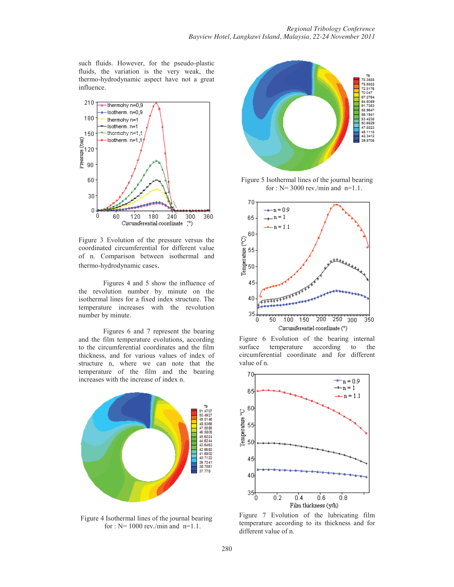such fluids. However, for the pseudo-plastic fluids, the variation is the very weak, the thermo-hydrodynamic aspect have not a great influence.



Figure 3 Evolution of the pressure versus the coordinated circumferential for different value of n. Comparison between isothermal and thermo-hydrodynamic cases.

Figures 4 and 5 show the influence of the revolution number by minute on the isothermal lines for a fixed index structure. The temperature increases with the revolution number by minute.

Figures 6 and 7 represent the bearing and the film temperature evolutions, according to the circumferential coordinates and the film thickness, and for various values of index of structure n, where we can note that the temperature of the film and the bearing increases with the increase of index n.



Figure 4 Isothermal lines of the journal bearing for :  $N = 1000$  rev./min and n=1.1.



Figure 5 Isothermal lines of the journal bearing for :  $N = 3000$  rev./min and n=1.1.



Figure 6 Evolution of the bearing internal surface temperature according to the circumferential coordinate and for different value of n.



Figure 7 Evolution of the lubricating film temperature according to its thickness and for different value of n.